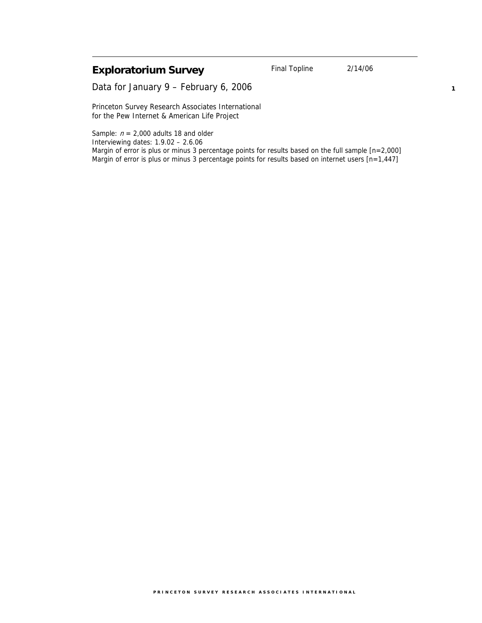# **Exploratorium Survey** Final Topline 2/14/06

**1**

Data for January 9 – February 6, 2006

Princeton Survey Research Associates International for the Pew Internet & American Life Project

Sample:  $n = 2,000$  adults 18 and older Interviewing dates: 1.9.02 – 2.6.06 Margin of error is plus or minus 3 percentage points for results based on the full sample [n=2,000] Margin of error is plus or minus 3 percentage points for results based on internet users [n=1,447]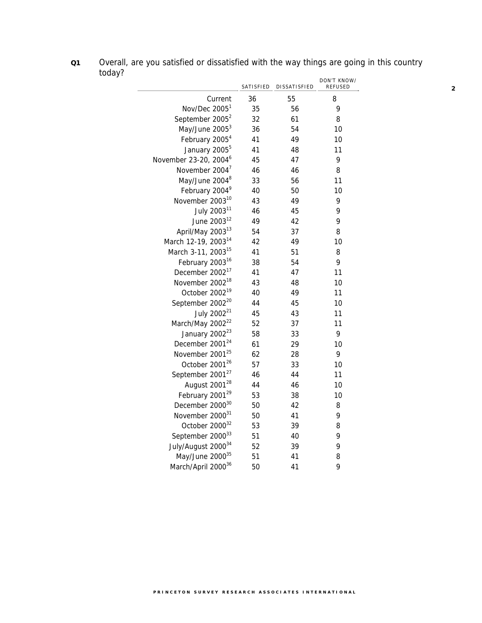**Q1** Overall, are you satisfied or dissatisfied with the way things are going in this country today?

|                                   | SATISFIED | DISSATISFIED | DON'T KNOW/<br><b>REFUSED</b> |
|-----------------------------------|-----------|--------------|-------------------------------|
| Current                           | 36        | 55           | 8                             |
| Nov/Dec 2005 <sup>1</sup>         | 35        | 56           | 9                             |
| September 2005 <sup>2</sup>       | 32        | 61           | 8                             |
| May/June 2005 <sup>3</sup>        | 36        | 54           | 10                            |
| February 2005 <sup>4</sup>        | 41        | 49           | 10                            |
| January 2005 <sup>5</sup>         | 41        | 48           | 11                            |
| November 23-20, 2004 <sup>6</sup> | 45        | 47           | 9                             |
| November 2004 <sup>7</sup>        | 46        | 46           | 8                             |
| May/June 2004 <sup>8</sup>        | 33        | 56           | 11                            |
| February 2004 <sup>9</sup>        | 40        | 50           | 10                            |
| November 2003 <sup>10</sup>       | 43        | 49           | 9                             |
| July 2003 <sup>11</sup>           | 46        | 45           | 9                             |
| June 2003 <sup>12</sup>           | 49        | 42           | 9                             |
| April/May 2003 <sup>13</sup>      | 54        | 37           | 8                             |
| March 12-19, 2003 <sup>14</sup>   | 42        | 49           | 10                            |
| March 3-11, 2003 <sup>15</sup>    | 41        | 51           | 8                             |
| February 2003 <sup>16</sup>       | 38        | 54           | 9                             |
| December 2002 <sup>17</sup>       | 41        | 47           | 11                            |
| November 2002 <sup>18</sup>       | 43        | 48           | 10                            |
| October 2002 <sup>19</sup>        | 40        | 49           | 11                            |
| September 2002 <sup>20</sup>      | 44        | 45           | 10                            |
| July 2002 <sup>21</sup>           | 45        | 43           | 11                            |
| March/May 2002 <sup>22</sup>      | 52        | 37           | 11                            |
| January 2002 <sup>23</sup>        | 58        | 33           | 9                             |
| December 2001 <sup>24</sup>       | 61        | 29           | 10                            |
| November 2001 <sup>25</sup>       | 62        | 28           | 9                             |
| October 2001 <sup>26</sup>        | 57        | 33           | 10                            |
| September 2001 <sup>27</sup>      | 46        | 44           | 11                            |
| August 2001 <sup>28</sup>         | 44        | 46           | 10                            |
| February 2001 <sup>29</sup>       | 53        | 38           | 10                            |
| December 2000 <sup>30</sup>       | 50        | 42           | 8                             |
| November 200031                   | 50        | 41           | 9                             |
| October 2000 <sup>32</sup>        | 53        | 39           | 8                             |
| September 2000 <sup>33</sup>      | 51        | 40           | 9                             |
| July/August 200034                | 52        | 39           | 9                             |
| May/June 200035                   | 51        | 41           | 8                             |
| March/April 2000 <sup>36</sup>    | 50        | 41           | 9                             |

**2**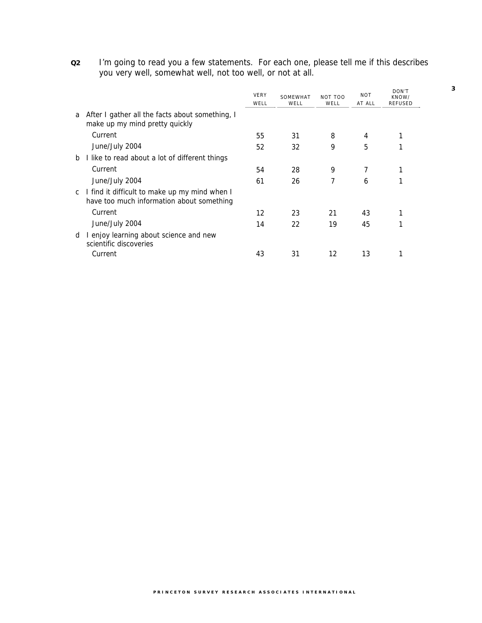**Q2** I'm going to read you a few statements. For each one, please tell me if this describes you very well, somewhat well, not too well, or not at all.

|              |                                                                                            | <b>VERY</b><br>WELL | SOMEWHAT<br>WELL | NOT TOO<br>WELL | <b>NOT</b><br>AT ALL | DON'T<br>KNOW/<br><b>REFUSED</b> |
|--------------|--------------------------------------------------------------------------------------------|---------------------|------------------|-----------------|----------------------|----------------------------------|
| a            | After I gather all the facts about something, I<br>make up my mind pretty quickly          |                     |                  |                 |                      |                                  |
|              | Current                                                                                    | 55                  | 31               | 8               | 4                    | 1                                |
|              | June/July 2004                                                                             | 52                  | 32               | 9               | 5                    | 1                                |
| b            | I like to read about a lot of different things                                             |                     |                  |                 |                      |                                  |
|              | Current                                                                                    | 54                  | 28               | 9               | 7                    |                                  |
|              | June/July 2004                                                                             | 61                  | 26               | 7               | 6                    |                                  |
| $\mathsf{C}$ | I find it difficult to make up my mind when I<br>have too much information about something |                     |                  |                 |                      |                                  |
|              | Current                                                                                    | 12                  | 23               | 21              | 43                   | 1                                |
|              | June/July 2004                                                                             | 14                  | 22               | 19              | 45                   | 1                                |
| d            | I enjoy learning about science and new<br>scientific discoveries                           |                     |                  |                 |                      |                                  |
|              | Current                                                                                    | 43                  | 31               | 12              | 13                   |                                  |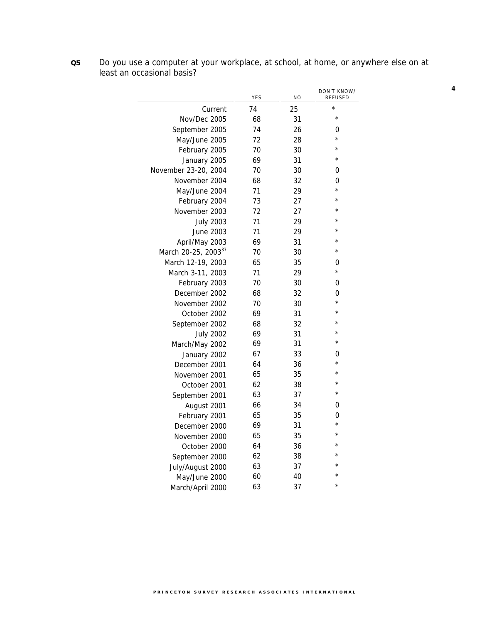|                                 | YES | <b>NO</b> | DON'T KNOW/<br><b>REFUSED</b> |
|---------------------------------|-----|-----------|-------------------------------|
| Current                         | 74  | 25        | $\star$                       |
| <b>Nov/Dec 2005</b>             | 68  | 31        | $^{\star}$                    |
| September 2005                  | 74  | 26        | 0                             |
| May/June 2005                   | 72  | 28        | $\star$                       |
| February 2005                   | 70  | 30        | $\star$                       |
| January 2005                    | 69  | 31        | $^{\star}$                    |
| November 23-20, 2004            | 70  | 30        | 0                             |
| November 2004                   | 68  | 32        | 0                             |
| May/June 2004                   | 71  | 29        | $\star$                       |
| February 2004                   | 73  | 27        | $\star$                       |
| November 2003                   | 72  | 27        | $\star$                       |
| <b>July 2003</b>                | 71  | 29        | $\star$                       |
| <b>June 2003</b>                | 71  | 29        | $\star$                       |
| April/May 2003                  | 69  | 31        | $\star$                       |
| March 20-25, 2003 <sup>37</sup> | 70  | 30        | $\star$                       |
| March 12-19, 2003               | 65  | 35        | 0                             |
| March 3-11, 2003                | 71  | 29        | $\star$                       |
| February 2003                   | 70  | 30        | 0                             |
| December 2002                   | 68  | 32        | 0                             |
| November 2002                   | 70  | 30        | $^\star$                      |
| October 2002                    | 69  | 31        | $\star$                       |
| September 2002                  | 68  | 32        | $\star$                       |
| <b>July 2002</b>                | 69  | 31        | $\star$                       |
| March/May 2002                  | 69  | 31        | $\star$                       |
| January 2002                    | 67  | 33        | 0                             |
| December 2001                   | 64  | 36        | $\star$                       |
| November 2001                   | 65  | 35        | $\star$                       |
| October 2001                    | 62  | 38        | $\star$                       |
| September 2001                  | 63  | 37        | $^\star$                      |
| August 2001                     | 66  | 34        | 0                             |
| February 2001                   | 65  | 35        | 0                             |
| December 2000                   | 69  | 31        | $\star$                       |
| November 2000                   | 65  | 35        | $\star$                       |
| October 2000                    | 64  | 36        | $\star$                       |
| September 2000                  | 62  | 38        | $\star$                       |
| July/August 2000                | 63  | 37        | $^\star$                      |
| May/June 2000                   | 60  | 40        | $\star$                       |
| March/April 2000                | 63  | 37        | $\star$                       |

**Q5** Do you use a computer at your workplace, at school, at home, or anywhere else on at least an occasional basis?

**4**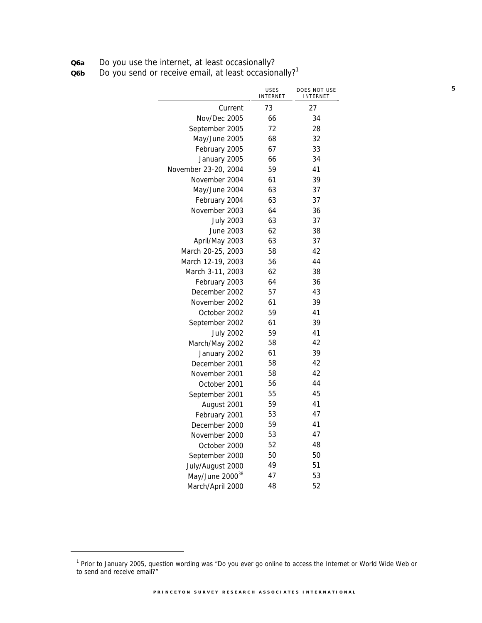**Q6a** Do you use the internet, at least occasionally?

**Q6b** Do you send or receive email, at least occasionally?<sup>1</sup>

|                             | <b>USES</b><br><b>INTERNET</b> | DOES NOT USE<br>INTERNET |
|-----------------------------|--------------------------------|--------------------------|
| Current                     | 73                             | 27                       |
| Nov/Dec 2005                | 66                             | 34                       |
| September 2005              | 72                             | 28                       |
| May/June 2005               | 68                             | 32                       |
| February 2005               | 67                             | 33                       |
| January 2005                | 66                             | 34                       |
| November 23-20, 2004        | 59                             | 41                       |
| November 2004               | 61                             | 39                       |
| May/June 2004               | 63                             | 37                       |
| February 2004               | 63                             | 37                       |
| November 2003               | 64                             | 36                       |
| <b>July 2003</b>            | 63                             | 37                       |
| <b>June 2003</b>            | 62                             | 38                       |
| April/May 2003              | 63                             | 37                       |
| March 20-25, 2003           | 58                             | 42                       |
| March 12-19, 2003           | 56                             | 44                       |
| March 3-11, 2003            | 62                             | 38                       |
| February 2003               | 64                             | 36                       |
| December 2002               | 57                             | 43                       |
| November 2002               | 61                             | 39                       |
| October 2002                | 59                             | 41                       |
| September 2002              | 61                             | 39                       |
| <b>July 2002</b>            | 59                             | 41                       |
| March/May 2002              | 58                             | 42                       |
| January 2002                | 61                             | 39                       |
| December 2001               | 58                             | 42                       |
| November 2001               | 58                             | 42                       |
| October 2001                | 56                             | 44                       |
| September 2001              | 55                             | 45                       |
| August 2001                 | 59                             | 41                       |
| February 2001               | 53                             | 47                       |
| December 2000               | 59                             | 41                       |
| November 2000               | 53                             | 47                       |
| October 2000                | 52                             | 48                       |
| September 2000              | 50                             | 50                       |
| July/August 2000            | 49                             | 51                       |
| May/June 2000 <sup>38</sup> | 47                             | 53                       |
| March/April 2000            | 48                             | 52                       |

**5**

 $\overline{a}$ 

<sup>&</sup>lt;sup>1</sup> Prior to January 2005, question wording was "Do you ever go online to access the Internet or World Wide Web or to send and receive email?"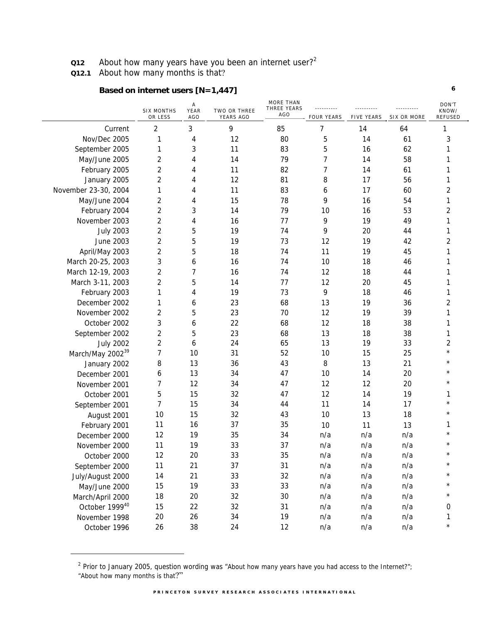**Q12** About how many years have you been an internet user?<sup>2</sup>

**Q12.1** About how many months is that?

-

# **Based on internet users [N=1,447]**

|                              | <b>SIX MONTHS</b> | Α<br>YEAR | TWO OR THREE | <b>MORE THAN</b><br>THREE YEARS |                   |                   |             | DON'T<br>KNOW/ |
|------------------------------|-------------------|-----------|--------------|---------------------------------|-------------------|-------------------|-------------|----------------|
|                              | OR LESS           | AGO       | YEARS AGO    | AGO                             | <b>FOUR YEARS</b> | <b>FIVE YEARS</b> | SIX OR MORE | <b>REFUSED</b> |
| Current                      | 2                 | 3         | 9            | 85                              | 7                 | 14                | 64          | 1              |
| Nov/Dec 2005                 | 1                 | 4         | 12           | 80                              | 5                 | 14                | 61          | 3              |
| September 2005               | 1                 | 3         | 11           | 83                              | 5                 | 16                | 62          | 1              |
| May/June 2005                | 2                 | 4         | 14           | 79                              | 7                 | 14                | 58          | 1              |
| February 2005                | 2                 | 4         | 11           | 82                              | 7                 | 14                | 61          | 1              |
| January 2005                 | 2                 | 4         | 12           | 81                              | 8                 | 17                | 56          | 1              |
| November 23-30, 2004         | 1                 | 4         | 11           | 83                              | 6                 | 17                | 60          | 2              |
| May/June 2004                | 2                 | 4         | 15           | 78                              | 9                 | 16                | 54          | 1              |
| February 2004                | 2                 | 3         | 14           | 79                              | 10                | 16                | 53          | 2              |
| November 2003                | 2                 | 4         | 16           | 77                              | 9                 | 19                | 49          | 1              |
| <b>July 2003</b>             | 2                 | 5         | 19           | 74                              | 9                 | 20                | 44          | 1              |
| <b>June 2003</b>             | 2                 | 5         | 19           | 73                              | 12                | 19                | 42          | 2              |
| April/May 2003               | 2                 | 5         | 18           | 74                              | 11                | 19                | 45          | 1              |
| March 20-25, 2003            | 3                 | 6         | 16           | 74                              | 10                | 18                | 46          | 1              |
| March 12-19, 2003            | 2                 | 7         | 16           | 74                              | 12                | 18                | 44          | 1              |
| March 3-11, 2003             | 2                 | 5         | 14           | 77                              | 12                | 20                | 45          | 1              |
| February 2003                | 1                 | 4         | 19           | 73                              | 9                 | 18                | 46          | 1              |
| December 2002                | 1                 | 6         | 23           | 68                              | 13                | 19                | 36          | 2              |
| November 2002                | 2                 | 5         | 23           | 70                              | 12                | 19                | 39          | 1              |
| October 2002                 | 3                 | 6         | 22           | 68                              | 12                | 18                | 38          | 1              |
| September 2002               | 2                 | 5         | 23           | 68                              | 13                | 18                | 38          | 1              |
| <b>July 2002</b>             | $\overline{c}$    | 6         | 24           | 65                              | 13                | 19                | 33          | 2              |
| March/May 2002 <sup>39</sup> | 7                 | 10        | 31           | 52                              | 10                | 15                | 25          | $^\star$       |
| January 2002                 | 8                 | 13        | 36           | 43                              | 8                 | 13                | 21          | $^\star$       |
| December 2001                | 6                 | 13        | 34           | 47                              | 10                | 14                | 20          | $\star$        |
| November 2001                | 7                 | 12        | 34           | 47                              | 12                | 12                | 20          | $^\star$       |
| October 2001                 | 5                 | 15        | 32           | 47                              | 12                | 14                | 19          | 1              |
| September 2001               | 7                 | 15        | 34           | 44                              | 11                | 14                | 17          | $^\star$       |
| August 2001                  | 10                | 15        | 32           | 43                              | 10                | 13                | 18          | $^\star$       |
| February 2001                | 11                | 16        | 37           | 35                              | 10                | 11                | 13          | 1              |
| December 2000                | 12                | 19        | 35           | 34                              | n/a               | n/a               | n/a         | $^\star$       |
| November 2000                | 11                | 19        | 33           | 37                              | n/a               | n/a               | n/a         | $^\star$       |
| October 2000                 | 12                | 20        | 33           | 35                              | n/a               | n/a               | n/a         | $\star$        |
| September 2000               | 11                | 21        | 37           | 31                              | n/a               | n/a               | n/a         | $^\star$       |
| July/August 2000             | 14                | 21        | 33           | 32                              | n/a               | n/a               | n/a         |                |
| May/June 2000                | 15                | 19        | 33           | 33                              | n/a               | n/a               | n/a         |                |
| March/April 2000             | 18                | 20        | 32           | 30                              | n/a               | n/a               | n/a         | $^\star$       |
| October 1999 <sup>40</sup>   | 15                | 22        | 32           | 31                              | n/a               | n/a               | n/a         | 0              |
| November 1998                | 20                | 26        | 34           | 19                              | n/a               | n/a               | n/a         | 1              |
| October 1996                 | 26                | 38        | 24           | 12                              | n/a               | n/a               | n/a         | $\star$        |

<sup>&</sup>lt;sup>2</sup> Prior to January 2005, question wording was "About how many years have you had access to the Internet?"; "About how many months is that?"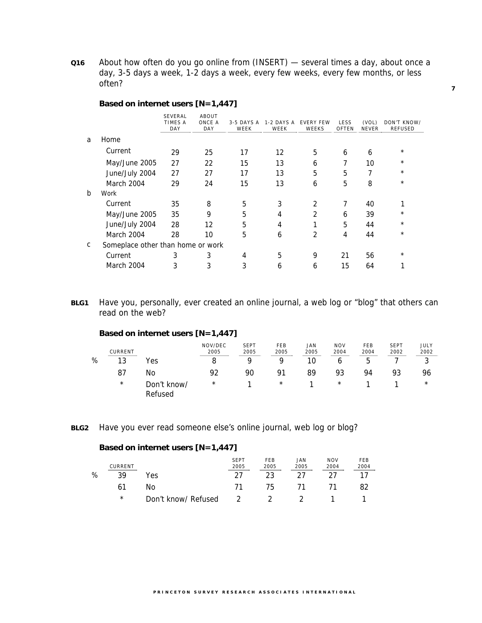**Q16** About how often do you go online from (INSERT) — several times a day, about once a day, 3-5 days a week, 1-2 days a week, every few weeks, every few months, or less often?

## **Based on internet users [N=1,447]**

|   |                                   | <b>SEVERAL</b><br><b>TIMES A</b><br><b>DAY</b> | ABOUT<br>ONCE A<br><b>DAY</b> | $3-5$ DAYS A<br>WEEK | 1-2 DAYS A<br>WEEK | <b>EVERY FEW</b><br>WEEKS | LESS<br>OFTEN | (VOL)<br><b>NEVER</b> | DON'T KNOW/<br><b>REFUSED</b> |
|---|-----------------------------------|------------------------------------------------|-------------------------------|----------------------|--------------------|---------------------------|---------------|-----------------------|-------------------------------|
| a | Home                              |                                                |                               |                      |                    |                           |               |                       |                               |
|   | Current                           | 29                                             | 25                            | 17                   | 12                 | 5                         | 6             | 6                     | $^\star$                      |
|   | May/June 2005                     | 27                                             | 22                            | 15                   | 13                 | 6                         | 7             | 10                    | $\star$                       |
|   | June/July 2004                    | 27                                             | 27                            | 17                   | 13                 | 5                         | 5             | 7                     | $^\star$                      |
|   | March 2004                        | 29                                             | 24                            | 15                   | 13                 | 6                         | 5             | 8                     | $\star$                       |
| b | Work                              |                                                |                               |                      |                    |                           |               |                       |                               |
|   | Current                           | 35                                             | 8                             | 5                    | 3                  | $\mathfrak{D}$            | 7             | 40                    | 1                             |
|   | May/June 2005                     | 35                                             | 9                             | 5                    | 4                  | $\mathfrak{p}$            | 6             | 39                    | $\star$                       |
|   | June/July 2004                    | 28                                             | 12                            | 5                    | 4                  |                           | 5             | 44                    | $\star$                       |
|   | <b>March 2004</b>                 | 28                                             | 10                            | 5                    | 6                  | $\mathfrak{D}$            | 4             | 44                    | $\star$                       |
| C | Someplace other than home or work |                                                |                               |                      |                    |                           |               |                       |                               |
|   | Current                           | 3                                              | 3                             | 4                    | 5                  | 9                         | 21            | 56                    | $^\star$                      |
|   | March 2004                        | 3                                              | 3                             | 3                    | 6                  | 6                         | 15            | 64                    |                               |
|   |                                   |                                                |                               |                      |                    |                           |               |                       |                               |

**BLG1** Have you, personally, ever created an online journal, a web log or "blog" that others can read on the web?

#### **Based on internet users [N=1,447]**

|   | CURRENT |                        | NOV/DEC<br>2005 | <b>SEPT</b><br>2005 | <b>FEB</b><br>2005 | JAN<br>2005 | <b>NOV</b><br>2004 | FEB<br>2004 | <b>SEPT</b><br>2002 | JULY<br>2002 |
|---|---------|------------------------|-----------------|---------------------|--------------------|-------------|--------------------|-------------|---------------------|--------------|
| % | 13      | Yes                    | 8               | a                   | a                  | 10          | O                  | b           |                     |              |
|   | 87      | No                     | 92              | 90                  | 91                 | 89          | 93                 | 94          | 93                  | 96           |
|   | $\star$ | Don't know/<br>Refused | $^\star$        |                     | $\star$            |             | $^\star$           |             |                     | $\star$      |

**BLG2** Have you ever read someone else's online journal, web log or blog?

### **Based on internet users [N=1,447]**

|   | CURRENT |                     | <b>SEPT</b><br>2005 | FEB<br>2005 | <b>JAN</b><br>2005 | <b>NOV</b><br>2004 | <b>FEB</b><br>2004 |
|---|---------|---------------------|---------------------|-------------|--------------------|--------------------|--------------------|
| ℅ | 39      | Yes                 | つフ                  | 23          | 27                 |                    |                    |
|   | 61      | Nο                  |                     | 75.         |                    |                    | 82                 |
|   | $\star$ | Don't know/ Refused |                     |             |                    |                    |                    |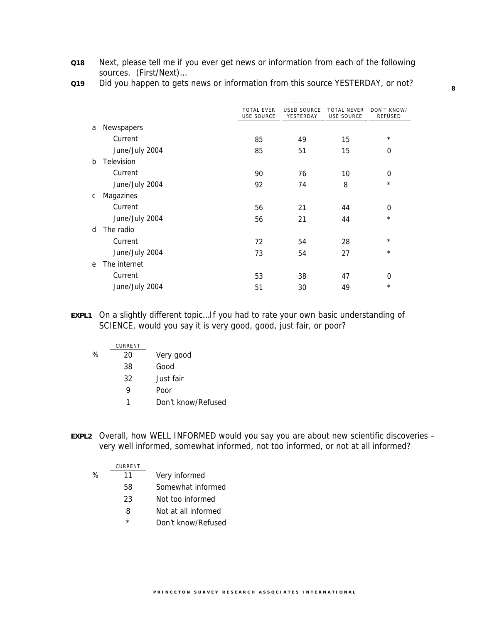**Q18** Next, please tell me if you ever get news or information from each of the following sources. (First/Next)…

|              |                | <b>TOTAL EVER</b><br><b>USE SOURCE</b> | <b>USED SOURCE</b><br>YESTERDAY | <b>TOTAL NEVER</b><br><b>USE SOURCE</b> | DON'T KNOW/<br><b>REFUSED</b> |
|--------------|----------------|----------------------------------------|---------------------------------|-----------------------------------------|-------------------------------|
| a            | Newspapers     |                                        |                                 |                                         |                               |
|              | Current        | 85                                     | 49                              | 15                                      | $^\star$                      |
|              | June/July 2004 | 85                                     | 51                              | 15                                      | 0                             |
| $\mathsf{b}$ | Television     |                                        |                                 |                                         |                               |
|              | Current        | 90                                     | 76                              | 10                                      | $\mathbf 0$                   |
|              | June/July 2004 | 92                                     | 74                              | 8                                       | $\star$                       |
| C            | Magazines      |                                        |                                 |                                         |                               |
|              | Current        | 56                                     | 21                              | 44                                      | $\mathbf 0$                   |
|              | June/July 2004 | 56                                     | 21                              | 44                                      | $\star$                       |
| d            | The radio      |                                        |                                 |                                         |                               |
|              | Current        | 72                                     | 54                              | 28                                      | $\star$                       |
|              | June/July 2004 | 73                                     | 54                              | 27                                      | $\star$                       |
| e            | The internet   |                                        |                                 |                                         |                               |
|              | Current        | 53                                     | 38                              | 47                                      | 0                             |
|              | June/July 2004 | 51                                     | 30                              | 49                                      | $^\star$                      |

**Q19** Did you happen to gets news or information from this source YESTERDAY, or not?

**8**

**EXPL1** On a slightly different topic…If you had to rate your own basic understanding of SCIENCE, would you say it is very good, good, just fair, or poor?

|   | CURRENT |                    |
|---|---------|--------------------|
| ℅ | 20      | Very good          |
|   | 38      | Good               |
|   | 32      | Just fair          |
|   | Q       | Poor               |
|   | 1       | Don't know/Refused |

**EXPL2** Overall, how WELL INFORMED would you say you are about new scientific discoveries – very well informed, somewhat informed, not too informed, or not at all informed?

|   | CURRENT |                     |
|---|---------|---------------------|
| ℅ | 11      | Very informed       |
|   | 58      | Somewhat informed   |
|   | 23      | Not too informed    |
|   | Զ       | Not at all informed |

\* Don't know/Refused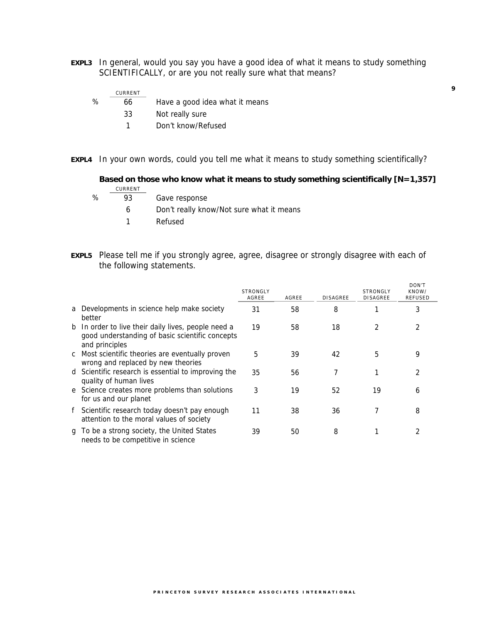**EXPL3** In general, would you say you have a good idea of what it means to study something SCIENTIFICALLY, or are you not really sure what that means?

|   | CURRENT |                                |
|---|---------|--------------------------------|
| % | 66      | Have a good idea what it means |
|   | 33      | Not really sure                |
|   |         |                                |

- 1 Don't know/Refused
- **EXPL4** In your own words, could you tell me what it means to study something scientifically?

#### **Based on those who know what it means to study something scientifically [N=1,357]**  CURRENT

**9**

| 93. | Gave response                            |
|-----|------------------------------------------|
|     | Don't really know/Not sure what it means |
|     | Refused                                  |
|     |                                          |

**EXPL5** Please tell me if you strongly agree, agree, disagree or strongly disagree with each of the following statements.

|   |                                                                                                                          | <b>STRONGLY</b><br>AGREE | AGREE | <b>DISAGREE</b> | STRONGLY<br><b>DISAGREE</b> | DON'T<br>KNOW/<br><b>REFUSED</b> |  |
|---|--------------------------------------------------------------------------------------------------------------------------|--------------------------|-------|-----------------|-----------------------------|----------------------------------|--|
| a | Developments in science help make society<br>better                                                                      | 31                       | 58    | 8               |                             | 3                                |  |
|   | b In order to live their daily lives, people need a<br>good understanding of basic scientific concepts<br>and principles | 19                       | 58    | 18              |                             | 2                                |  |
|   | c Most scientific theories are eventually proven<br>wrong and replaced by new theories                                   | 5                        | 39    | 42              | 5                           | 9                                |  |
|   | d Scientific research is essential to improving the<br>quality of human lives                                            | 35                       | 56    | 7               | 1                           | 2                                |  |
|   | e Science creates more problems than solutions<br>for us and our planet                                                  | 3                        | 19    | 52              | 19                          | 6                                |  |
|   | f Scientific research today doesn't pay enough<br>attention to the moral values of society                               | 11                       | 38    | 36              |                             | 8                                |  |
|   | g To be a strong society, the United States<br>needs to be competitive in science                                        | 39                       | 50    | 8               |                             | 2                                |  |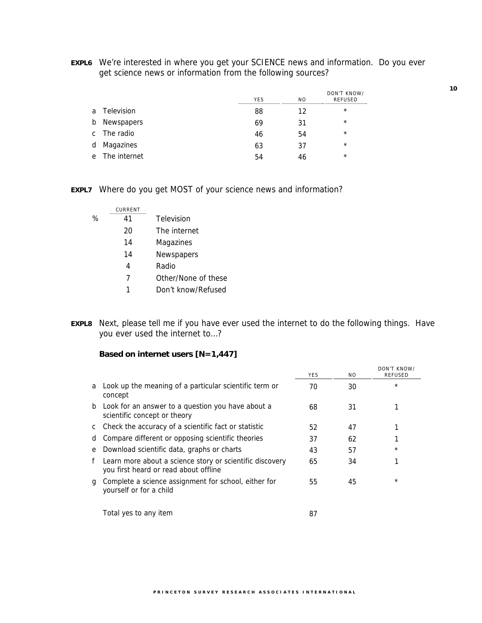**EXPL6** We're interested in where you get your SCIENCE news and information. Do you ever get science news or information from the following sources?

|    |                | <b>YES</b> | NO. | DON'T KNOW/<br><b>REFUSED</b> |
|----|----------------|------------|-----|-------------------------------|
| a. | Television     | 88         | 12  | $^\star$                      |
| b  | Newspapers     | 69         | 31  | $\star$                       |
|    | c The radio    | 46         | 54  | $\star$                       |
|    | d Magazines    | 63         | 37  | $\star$                       |
|    | e The internet | 54         | 46  | $\star$                       |

## **EXPL7** Where do you get MOST of your science news and information?

|   | CURRENT |                     |
|---|---------|---------------------|
| ℅ | 41      | Television          |
|   | 20      | The internet        |
|   | 14      | Magazines           |
|   | 14      | Newspapers          |
|   | 4       | Radio               |
|   | 7       | Other/None of these |
|   | 1       | Don't know/Refused  |

**EXPL8** Next, please tell me if you have ever used the internet to do the following things. Have you ever used the internet to…?

## **Based on internet users [N=1,447]**

|     |                                                                                                   | <b>YES</b> | NO. | DON'T KNOW/<br><b>REFUSED</b> |
|-----|---------------------------------------------------------------------------------------------------|------------|-----|-------------------------------|
| a   | Look up the meaning of a particular scientific term or<br>concept                                 | 70         | 30  | $^{\star}$                    |
| b   | Look for an answer to a question you have about a<br>scientific concept or theory                 | 68         | 31  |                               |
| C – | Check the accuracy of a scientific fact or statistic                                              | 52         | 47  |                               |
| d   | Compare different or opposing scientific theories                                                 | 37         | 62  |                               |
| e   | Download scientific data, graphs or charts                                                        | 43         | 57  | $\star$                       |
| f   | Learn more about a science story or scientific discovery<br>you first heard or read about offline | 65         | 34  |                               |
| q   | Complete a science assignment for school, either for<br>yourself or for a child                   | 55         | 45  | $\star$                       |
|     | Total yes to any item                                                                             | 87         |     |                               |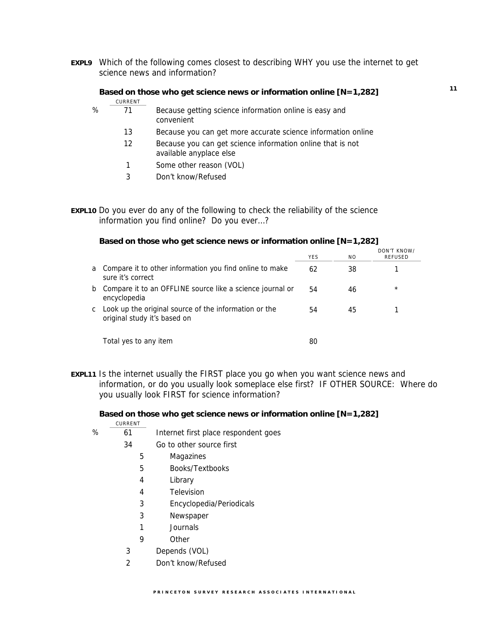**EXPL9** Which of the following comes closest to describing WHY you use the internet to get science news and information?

 **Based on those who get science news or information online [N=1,282]** 

**11**

|   | <b>Dased on those who get science news of information online [N= 1,202]</b> |                                                                                       |  |  |  |
|---|-----------------------------------------------------------------------------|---------------------------------------------------------------------------------------|--|--|--|
|   | CURRENT                                                                     |                                                                                       |  |  |  |
| % | 71                                                                          | Because getting science information online is easy and<br>convenient                  |  |  |  |
|   | 13                                                                          | Because you can get more accurate science information online                          |  |  |  |
|   | 12                                                                          | Because you can get science information online that is not<br>available anyplace else |  |  |  |
|   | 1.                                                                          | Some other reason (VOL)                                                               |  |  |  |
|   | 3                                                                           | Don't know/Refused                                                                    |  |  |  |

**EXPL10** Do you ever do any of the following to check the reliability of the science information you find online? Do you ever…?

#### **Based on those who get science news or information online [N=1,282]**

|   |                                                                                       | <b>YES</b> | NO. | DON'T KNOW/<br><b>REFUSED</b> |
|---|---------------------------------------------------------------------------------------|------------|-----|-------------------------------|
| a | Compare it to other information you find online to make<br>sure it's correct          | 62         | 38  |                               |
| b | Compare it to an OFFLINE source like a science journal or<br>encyclopedia             | 54         | 46  | $\star$                       |
| C | Look up the original source of the information or the<br>original study it's based on | 54         | 45  |                               |
|   | Total yes to any item                                                                 | 80         |     |                               |

**EXPL11** Is the internet usually the FIRST place you go when you want science news and information, or do you usually look someplace else first? IF OTHER SOURCE: Where do you usually look FIRST for science information?

#### **Based on those who get science news or information online [N=1,282]**  CURRENT

| % | 61 |   | Internet first place respondent goes |
|---|----|---|--------------------------------------|
|   | 34 |   | Go to other source first             |
|   |    | 5 | Magazines                            |
|   |    | 5 | Books/Textbooks                      |
|   |    | 4 | Library                              |
|   |    | 4 | Television                           |
|   |    | 3 | Encyclopedia/Periodicals             |
|   |    | 3 | Newspaper                            |
|   |    | 1 | Journals                             |
|   |    | 9 | Other                                |
|   |    |   |                                      |

- 3 Depends (VOL)
- 2 Don't know/Refused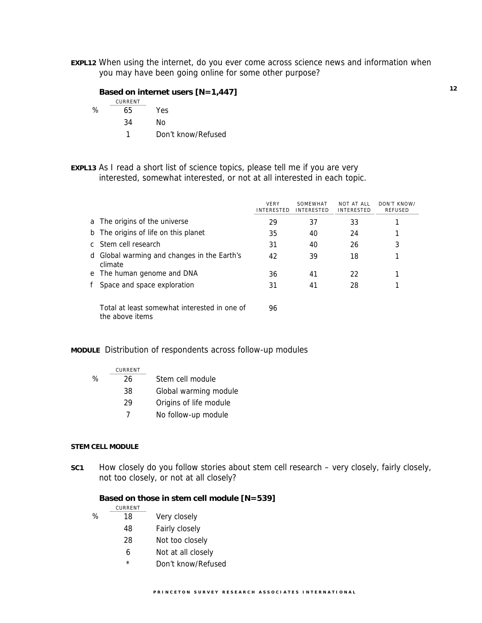**EXPL12** When using the internet, do you ever come across science news and information when you may have been going online for some other purpose?

## **Based on internet users [N=1,447]**

|   | CURRENT |                    |
|---|---------|--------------------|
| % | 65      | Yes                |
|   | 34      | N٥                 |
|   |         | Don't know/Refused |

**EXPL13** As I read a short list of science topics, please tell me if you are very interested, somewhat interested, or not at all interested in each topic.

|   |                                                      | VERY<br>INTERESTED | SOMEWHAT<br><b>INTERESTED</b> | NOT AT ALL<br><b>INTERESTED</b> | DON'T KNOW/<br>REFUSED |
|---|------------------------------------------------------|--------------------|-------------------------------|---------------------------------|------------------------|
|   | a The origins of the universe                        | 29                 | 37                            | 33                              |                        |
|   | b The origins of life on this planet                 | 35                 | 40                            | 24                              |                        |
|   | c Stem cell research                                 | 31                 | 40                            | 26                              | 3                      |
| d | Global warming and changes in the Earth's<br>climate | 42                 | 39                            | 18                              |                        |
|   | e The human genome and DNA                           | 36                 | 41                            | 22                              |                        |
|   | Space and space exploration                          | 31                 | 41                            | 28                              |                        |
|   | Total at least somewhat interested in one of         | 96                 |                               |                                 |                        |

the above items

#### **MODULE** Distribution of respondents across follow-up modules

|   | CURRENT |                        |
|---|---------|------------------------|
| % | 26      | Stem cell module       |
|   | 38      | Global warming module  |
|   | 29      | Origins of life module |
|   |         | No follow-up module    |

#### **STEM CELL MODULE**

**SC1** How closely do you follow stories about stem cell research – very closely, fairly closely, not too closely, or not at all closely?

### **Based on those in stem cell module [N=539]**

|   | CURRENT |                    |
|---|---------|--------------------|
| ℅ | 18      | Very closely       |
|   | 48      | Fairly closely     |
|   | 28      | Not too closely    |
|   | 6       | Not at all closely |
|   | $\star$ | Don't know/Refused |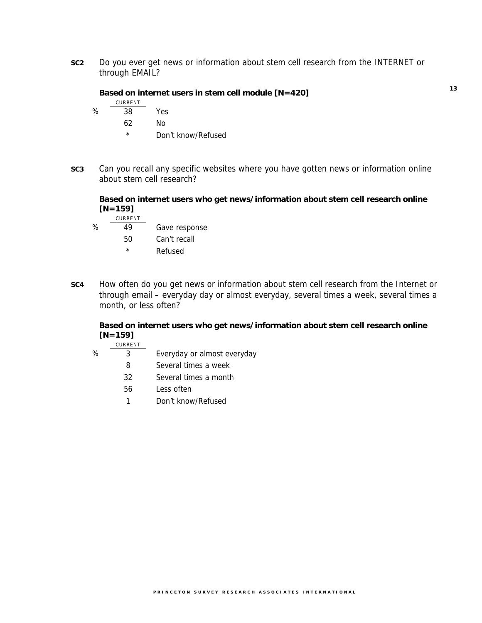**SC2** Do you ever get news or information about stem cell research from the INTERNET or through EMAIL?

 **Based on internet users in stem cell module [N=420]** 

$$
\% \quad \frac{\text{current}}{38} \quad \text{Yes} \\ \quad 62 \quad \text{No}
$$

- \* Don't know/Refused
- **SC3** Can you recall any specific websites where you have gotten news or information online about stem cell research?

## **Based on internet users who get news/information about stem cell research online [N=159]**

\n
$$
\begin{array}{r}\n 86 \overline{)49} \\
\hline\n 49 \overline{)50} \\
\hline\n 64 \overline{)64} \\
\hline\n 74 \overline{)64} \\
\hline\n 864 \overline{)64} \\
\hline\n 144 \overline{)64} \\
\hline\n 144 \overline{)64} \\
\hline\n 144 \overline{)64} \\
\hline\n 144 \overline{)64} \\
\hline\n 144 \overline{)64} \\
\hline\n 144 \overline{)64} \\
\hline\n 144 \overline{)64} \\
\hline\n 144 \overline{)64} \\
\hline\n 144 \overline{)64} \\
\hline\n 144 \overline{)64} \\
\hline\n 144 \overline{)64} \\
\hline\n 144 \overline{)64} \\
\hline\n 144 \overline{)64} \\
\hline\n 144 \overline{)64} \\
\hline\n 144 \overline{)64} \\
\hline\n 144 \overline{)64} \\
\hline\n 144 \overline{)64} \\
\hline\n 144 \overline{)64} \\
\hline\n 144 \overline{)64} \\
\hline\n 144 \overline{)64} \\
\hline\n 144 \overline{)64} \\
\hline\n 144 \overline{)64} \\
\hline\n 144 \overline{)64} \\
\hline\n 144 \overline{)64} \\
\hline\n 144 \overline{)64} \\
\hline\n 144 \overline{)64} \\
\hline\n 144 \overline{)64} \\
\hline\n 144 \overline{)64} \\
\hline\n 144 \overline{)64} \\
\hline\n 144 \overline{)64} \\
\hline\n 144 \overline{)64} \\
\hline\n 144 \overline{)64} \\
\hline\n 144 \overline{)64} \\
\hline\n 144 \overline{)64} \\
\hline\n 144 \overline{)64} \\
\hline\n 144 \overline{)64} \\
\hline\n 144 \overline{)64} \\
\hline\n 144 \overline{)64} \\
\hline\n 144 \overline{)64} \\
\hline\n 144 \over
$$

**SC4** How often do you get news or information about stem cell research from the Internet or through email – everyday day or almost everyday, several times a week, several times a month, or less often?

## **Based on internet users who get news/information about stem cell research online [N=159]**

|   | CURRENT |                             |
|---|---------|-----------------------------|
| ℅ |         | Everyday or almost everyday |
|   |         | Several times a week        |

- 32 Several times a month
- 56 Less often
- 1 Don't know/Refused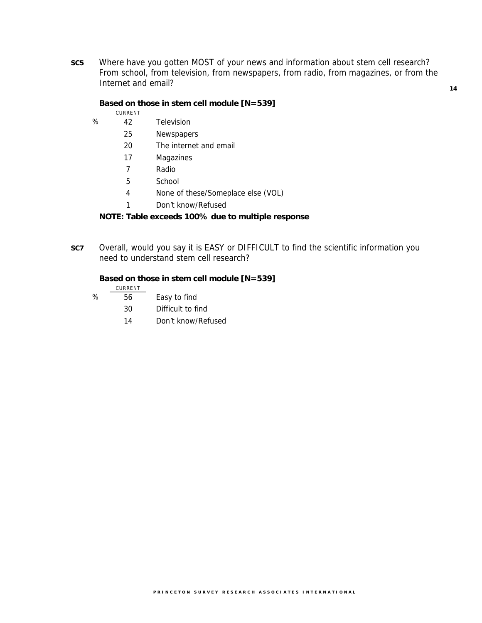**SC5** Where have you gotten MOST of your news and information about stem cell research? From school, from television, from newspapers, from radio, from magazines, or from the Internet and email?

## **Based on those in stem cell module [N=539]**

|   | $110000$ in otonic our moders from $71$ |                                    |  |
|---|-----------------------------------------|------------------------------------|--|
|   | CURRENT                                 |                                    |  |
| ℅ | 42                                      | Television                         |  |
|   | 25                                      | Newspapers                         |  |
|   | 20                                      | The internet and email             |  |
|   | 17                                      | Magazines                          |  |
|   | 7                                       | Radio                              |  |
|   | 5                                       | School                             |  |
|   | 4                                       | None of these/Someplace else (VOL) |  |
|   |                                         | Don't know/Refused                 |  |

## **NOTE: Table exceeds 100% due to multiple response**

**SC7** Overall, would you say it is EASY or DIFFICULT to find the scientific information you need to understand stem cell research?

### **Based on those in stem cell module [N=539]**

- % 56 Easy to find
	- 30 Difficult to find
		- 14 Don't know/Refused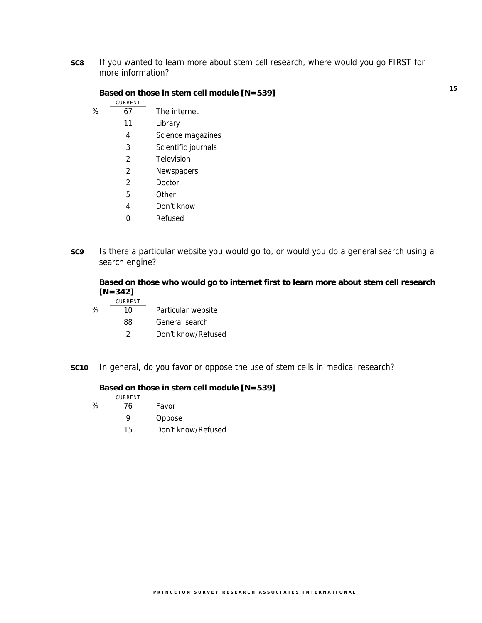**SC8** If you wanted to learn more about stem cell research, where would you go FIRST for more information?

|   |         | Based on those in stem cell module [N=53) |
|---|---------|-------------------------------------------|
|   | CURRENT |                                           |
| ℅ | 67      | The internet                              |
|   | 11      | Library                                   |
|   | 4       | Science magazines                         |
|   | 3       | Scientific journals                       |
|   | 2       | Television                                |
|   | 2       | Newspapers                                |
|   | 2       | Doctor                                    |
|   | 5       | Other                                     |
|   | 4       | Don't know                                |
|   |         | Refused                                   |

**Based on those in stem cell module [N=539]** 

**SC9** Is there a particular website you would go to, or would you do a general search using a search engine?

**Based on those who would go to internet first to learn more about stem cell research [N=342]** 

|   | CURRENT |                    |
|---|---------|--------------------|
| ℅ | 10      | Particular website |
|   | 88      | General search     |
|   | 2       | Don't know/Refused |

**SC10** In general, do you favor or oppose the use of stem cells in medical research?

#### **Based on those in stem cell module [N=539]**

|   | CURRENT |                    |
|---|---------|--------------------|
| ℅ | 76      | Favor              |
|   | Q       | Oppose             |
|   | 15      | Don't know/Refused |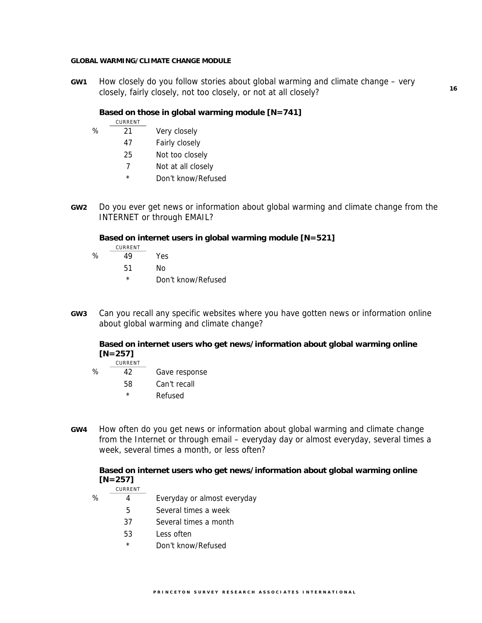#### **GLOBAL WARMING/CLIMATE CHANGE MODULE**

**GW1** How closely do you follow stories about global warming and climate change – very closely, fairly closely, not too closely, or not at all closely?

#### **Based on those in global warming module [N=741]**

|   | CURRENT |                    |
|---|---------|--------------------|
| ℅ | 21      | Very closely       |
|   | 47      | Fairly closely     |
|   | 25      | Not too closely    |
|   |         | Not at all closely |

- \* Don't know/Refused
- **GW2** Do you ever get news or information about global warming and climate change from the INTERNET or through EMAIL?

 **Based on internet users in global warming module [N=521]** 

CURRENT

% 49 Yes

- 51 No
	- \* Don't know/Refused
- **GW3** Can you recall any specific websites where you have gotten news or information online about global warming and climate change?

 **Based on internet users who get news/information about global warming online [N=257]** 

- CURRENT % 42 Gave response 58 Can't recall \* Refused
- **GW4** How often do you get news or information about global warming and climate change from the Internet or through email – everyday day or almost everyday, several times a week, several times a month, or less often?

**Based on internet users who get news/information about global warming online [N=257]** 

CURRENT % 4 Everyday or almost everyday 5 Several times a week 37 Several times a month 53 Less often \* Don't know/Refused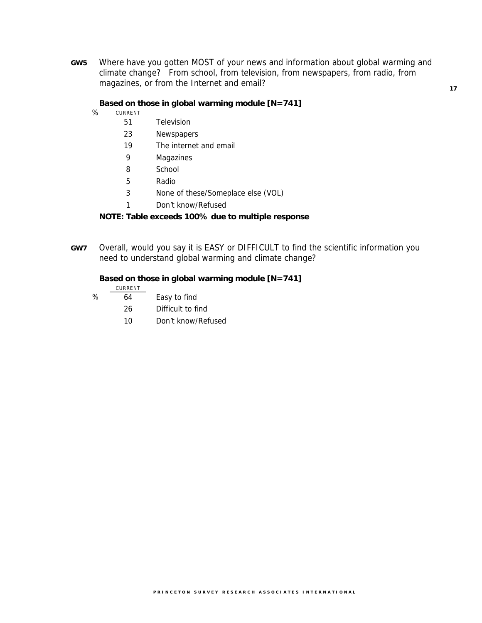**GW5** Where have you gotten MOST of your news and information about global warming and climate change? From school, from television, from newspapers, from radio, from magazines, or from the Internet and email?

#### **Based on those in global warming module [N=741]**

| ℅ | CURRENT |                                    |
|---|---------|------------------------------------|
|   | 51      | Television                         |
|   | 23      | Newspapers                         |
|   | 19      | The internet and email             |
|   | 9       | Magazines                          |
|   | 8       | School                             |
|   | 5       | Radio                              |
|   | 3       | None of these/Someplace else (VOL) |
|   |         | Don't know/Refused                 |

#### **NOTE: Table exceeds 100% due to multiple response**

**GW7** Overall, would you say it is EASY or DIFFICULT to find the scientific information you need to understand global warming and climate change?

### **Based on those in global warming module [N=741]**

| CURRENT<br>$\sim$ |  |
|-------------------|--|
|                   |  |

% 64 Easy to find

- 26 Difficult to find
	- 10 Don't know/Refused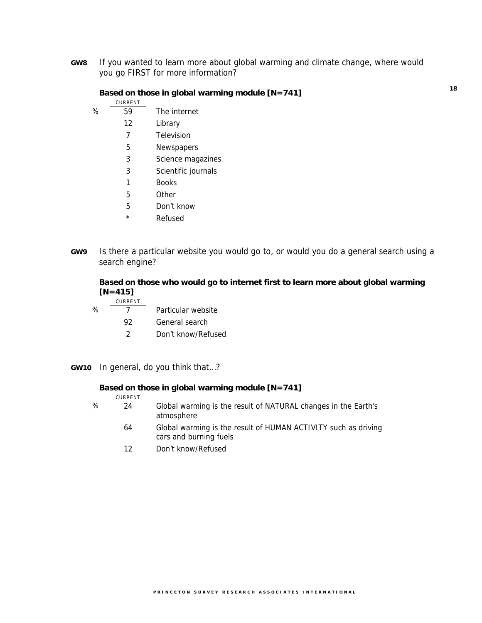**GW8** If you wanted to learn more about global warming and climate change, where would you go FIRST for more information?

|   | CURRENT  |                     |
|---|----------|---------------------|
| % | 59       | The internet        |
|   | 12       | Library             |
|   | 7        | Television          |
|   | 5        | Newspapers          |
|   | 3        | Science magazines   |
|   | 3        | Scientific journals |
|   | 1        | <b>Books</b>        |
|   | 5        | Other               |
|   | 5        | Don't know          |
|   | $^\star$ | Refused             |

#### **Based on those in global warming module [N=741]**

**GW9** Is there a particular website you would go to, or would you do a general search using a search engine?

**Based on those who would go to internet first to learn more about global warming [N=415]** 

CURRENT % 7 Particular website 92 General search 2 Don't know/Refused

**GW10** In general, do you think that…?

#### **Based on those in global warming module [N=741]**

|   | CURRENT |                                                                                          |
|---|---------|------------------------------------------------------------------------------------------|
| % | 24      | Global warming is the result of NATURAL changes in the Earth's<br>atmosphere             |
|   | 64      | Global warming is the result of HUMAN ACTIVITY such as driving<br>cars and burning fuels |
|   |         |                                                                                          |

12 Don't know/Refused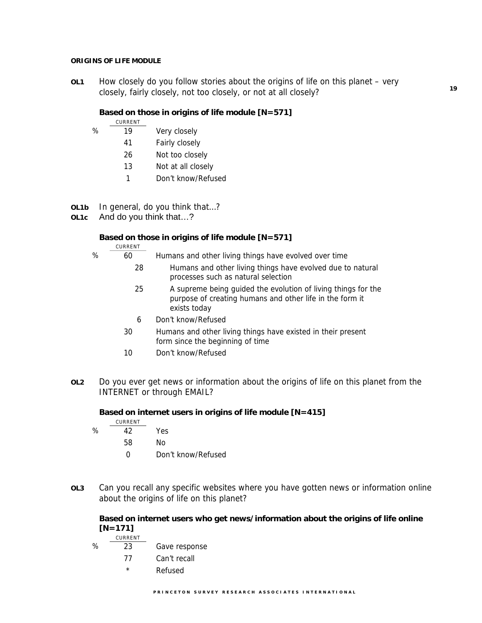#### **ORIGINS OF LIFE MODULE**

**OL1** How closely do you follow stories about the origins of life on this planet – very closely, fairly closely, not too closely, or not at all closely?

## **Based on those in origins of life module [N=571]**

|   | CURRENT |                    |
|---|---------|--------------------|
| ℅ | 19      | Very closely       |
|   | 41      | Fairly closely     |
|   | 26      | Not too closely    |
|   | 13      | Not at all closely |

- 1 Don't know/Refused
- **OL1b** In general, do you think that…?
- **OL1c** And do you think that…?

#### **Based on those in origins of life module [N=571]**

CURRENT

- % 60 Humans and other living things have evolved over time
	- 28 Humans and other living things have evolved due to natural processes such as natural selection
	- 25 A supreme being guided the evolution of living things for the purpose of creating humans and other life in the form it exists today
	- 6 Don't know/Refused
	- 30 Humans and other living things have existed in their present form since the beginning of time
	- 10 Don't know/Refused
- **OL2** Do you ever get news or information about the origins of life on this planet from the INTERNET or through EMAIL?

#### **Based on internet users in origins of life module [N=415]**

|   | CURRENT |                    |
|---|---------|--------------------|
| ℅ | 42      | Yes                |
|   | 58      | Nο                 |
|   | 7       | Don't know/Refused |

**OL3** Can you recall any specific websites where you have gotten news or information online

about the origins of life on this planet?

## **Based on internet users who get news/information about the origins of life online [N=171]**

|   | CURRENT |               |
|---|---------|---------------|
| ℅ | 23      | Gave response |
|   | 77      | Can't recall  |
|   | *       | Refused       |
|   |         |               |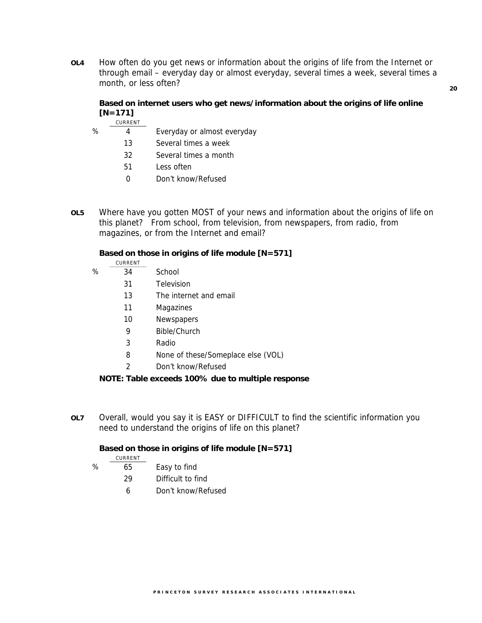**OL4** How often do you get news or information about the origins of life from the Internet or through email – everyday day or almost everyday, several times a week, several times a month, or less often?

## **Based on internet users who get news/information about the origins of life online [N=171]**

|   | CURRENT |                             |
|---|---------|-----------------------------|
| ℅ |         | Everyday or almost everyday |
|   | 13      | Several times a week        |
|   | 32      | Several times a month       |
|   | 51      | Less often                  |
|   | n       | Don't know/Refused          |

**OL5** Where have you gotten MOST of your news and information about the origins of life on this planet? From school, from television, from newspapers, from radio, from magazines, or from the Internet and email?

## **Based on those in origins of life module [N=571]**

- CURRENT % 34 School
	- 31 Television 13 The internet and email 11 Magazines 10 Newspapers 9 Bible/Church 3 Radio
		-
		- 8 None of these/Someplace else (VOL)
		- 2 Don't know/Refused

## **NOTE: Table exceeds 100% due to multiple response**

**OL7** Overall, would you say it is EASY or DIFFICULT to find the scientific information you need to understand the origins of life on this planet?

## **Based on those in origins of life module [N=571]**

- CURRENT
- % 65 Easy to find
	- 29 Difficult to find
	- 6 Don't know/Refused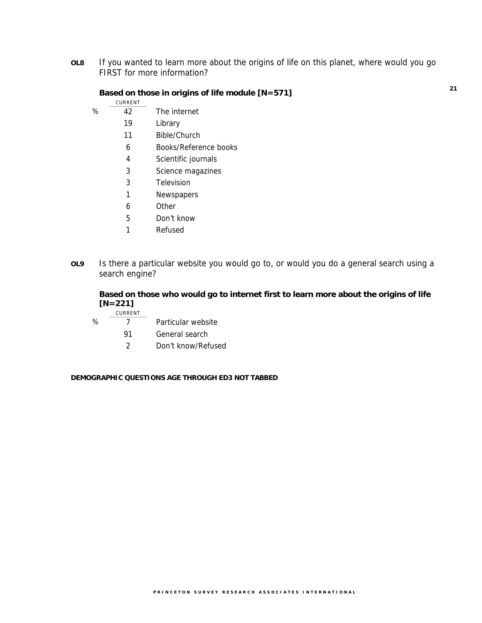**OL8** If you wanted to learn more about the origins of life on this planet, where would you go FIRST for more information?

|   |         | Based on those in origins of life module [N=571] |
|---|---------|--------------------------------------------------|
|   | CURRENT |                                                  |
| ℅ | 42      | The internet                                     |
|   | 19      | Library                                          |
|   | 11      | Bible/Church                                     |
|   | 6       | Books/Reference books                            |
|   | 4       | Scientific journals                              |
|   | 3       | Science magazines                                |
|   | 3       | Television                                       |
|   | 1       | <b>Newspapers</b>                                |
|   | 6       | Other                                            |
|   | 5       | Don't know                                       |
|   |         |                                                  |

- 1 Refused
- **OL9** Is there a particular website you would go to, or would you do a general search using a search engine?

**Based on those who would go to internet first to learn more about the origins of life [N=221]** 

CURRENT % 7 Particular website 91 General search 2 Don't know/Refused

**DEMOGRAPHIC QUESTIONS AGE THROUGH ED3 NOT TABBED**

**21**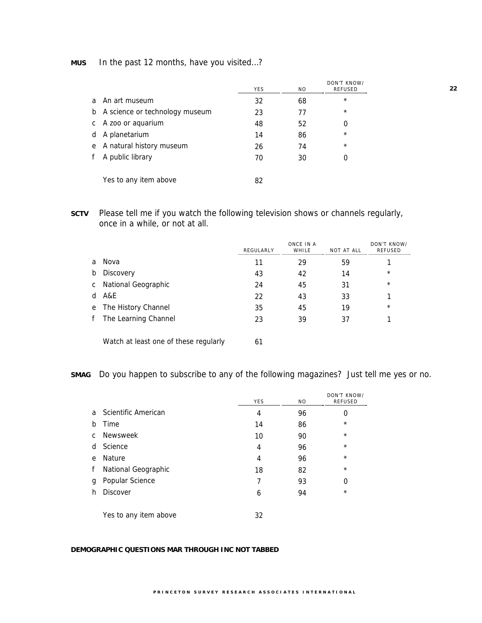|   |                                | <b>YES</b> | NO. | DON'T KNOW/<br><b>REFUSED</b> |
|---|--------------------------------|------------|-----|-------------------------------|
| a | An art museum                  | 32         | 68  | $\star$                       |
| b | A science or technology museum | 23         | 77  | $\star$                       |
|   | c A zoo or aquarium            | 48         | 52  | 0                             |
| d | A planetarium                  | 14         | 86  | $\star$                       |
| e | A natural history museum       | 26         | 74  | $\star$                       |
|   | A public library               | 70         | 30  | 0                             |
|   |                                |            |     |                               |
|   | Yes to any item above          | 82         |     |                               |

**MUS** In the past 12 months, have you visited…?

**SCTV** Please tell me if you watch the following television shows or channels regularly, once in a while, or not at all.

|   |                                       | REGULARLY | ONCE IN A<br>WHILE | NOT AT ALL | DON'T KNOW/<br><b>REFUSED</b> |
|---|---------------------------------------|-----------|--------------------|------------|-------------------------------|
| a | Nova                                  | 11        | 29                 | 59         |                               |
| b | <b>Discovery</b>                      | 43        | 42                 | 14         | $\star$                       |
| C | National Geographic                   | 24        | 45                 | 31         | $\star$                       |
| d | A&E                                   | 22        | 43                 | 33         | 1                             |
| e | The History Channel                   | 35        | 45                 | 19         | $\star$                       |
|   | The Learning Channel                  | 23        | 39                 | 37         |                               |
|   |                                       |           |                    |            |                               |
|   | Watch at least one of these regularly | 61        |                    |            |                               |

**SMAG** Do you happen to subscribe to any of the following magazines? Just tell me yes or no.

|   |                       | <b>YES</b> | NO. | DON'T KNOW/<br><b>REFUSED</b> |
|---|-----------------------|------------|-----|-------------------------------|
| a | Scientific American   | 4          | 96  | 0                             |
| h | Time                  | 14         | 86  | $^\star$                      |
| C | Newsweek              | 10         | 90  | $\star$                       |
| d | Science               | 4          | 96  | $\star$                       |
| e | Nature                | 4          | 96  | $\star$                       |
| f | National Geographic   | 18         | 82  | $^\star$                      |
| g | Popular Science       | 7          | 93  | 0                             |
| h | <b>Discover</b>       | 6          | 94  | $^\star$                      |
|   |                       |            |     |                               |
|   | Yes to any item above | 32         |     |                               |

#### **DEMOGRAPHIC QUESTIONS MAR THROUGH INC NOT TABBED**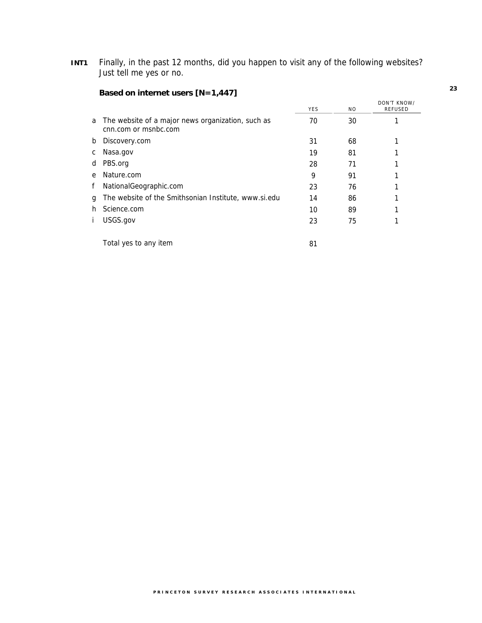**INT1** Finally, in the past 12 months, did you happen to visit any of the following websites? Just tell me yes or no.

| Based on internet users $[N=1,447]$ |  |  |
|-------------------------------------|--|--|
|-------------------------------------|--|--|

|    |                                                                           | <b>YES</b> | <b>NO</b> | DON'T KNOW/<br><b>REFUSED</b> |
|----|---------------------------------------------------------------------------|------------|-----------|-------------------------------|
| a  | The website of a major news organization, such as<br>cnn.com or msnbc.com | 70         | 30        |                               |
| b  | Discovery.com                                                             | 31         | 68        |                               |
| C  | Nasa.gov                                                                  | 19         | 81        |                               |
| d  | PBS.org                                                                   | 28         | 71        |                               |
| e  | Nature.com                                                                | 9          | 91        |                               |
| f  | NationalGeographic.com                                                    | 23         | 76        |                               |
| g  | The website of the Smithsonian Institute, www.si.edu                      | 14         | 86        |                               |
| h. | Science.com                                                               | 10         | 89        |                               |
| i  | USGS.gov                                                                  | 23         | 75        |                               |
|    | Total yes to any item                                                     | 81         |           |                               |

**23**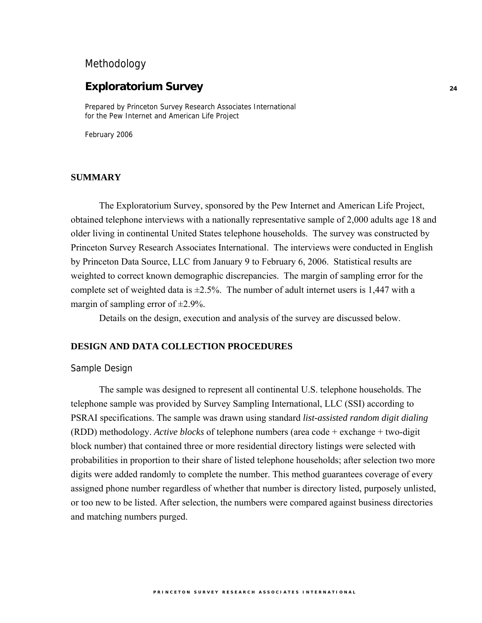# Methodology

# **Exploratorium Survey**

Prepared by Princeton Survey Research Associates International for the Pew Internet and American Life Project

February 2006

## **SUMMARY**

The Exploratorium Survey, sponsored by the Pew Internet and American Life Project, obtained telephone interviews with a nationally representative sample of 2,000 adults age 18 and older living in continental United States telephone households. The survey was constructed by Princeton Survey Research Associates International. The interviews were conducted in English by Princeton Data Source, LLC from January 9 to February 6, 2006. Statistical results are weighted to correct known demographic discrepancies. The margin of sampling error for the complete set of weighted data is  $\pm 2.5\%$ . The number of adult internet users is 1,447 with a margin of sampling error of  $\pm 2.9\%$ .

Details on the design, execution and analysis of the survey are discussed below.

## **DESIGN AND DATA COLLECTION PROCEDURES**

#### Sample Design

The sample was designed to represent all continental U.S. telephone households. The telephone sample was provided by Survey Sampling International, LLC (SSI) according to PSRAI specifications. The sample was drawn using standard *list-assisted random digit dialing* (RDD) methodology. *Active blocks* of telephone numbers (area code + exchange + two-digit block number) that contained three or more residential directory listings were selected with probabilities in proportion to their share of listed telephone households; after selection two more digits were added randomly to complete the number. This method guarantees coverage of every assigned phone number regardless of whether that number is directory listed, purposely unlisted, or too new to be listed. After selection, the numbers were compared against business directories and matching numbers purged.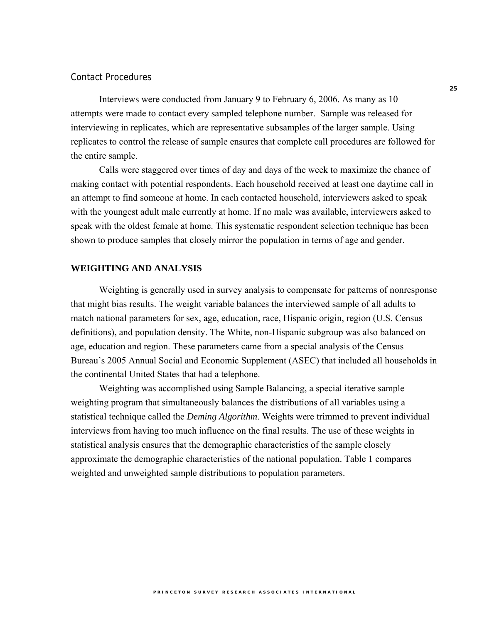## Contact Procedures

Interviews were conducted from January 9 to February 6, 2006. As many as 10 attempts were made to contact every sampled telephone number. Sample was released for interviewing in replicates, which are representative subsamples of the larger sample. Using replicates to control the release of sample ensures that complete call procedures are followed for the entire sample.

Calls were staggered over times of day and days of the week to maximize the chance of making contact with potential respondents. Each household received at least one daytime call in an attempt to find someone at home. In each contacted household, interviewers asked to speak with the youngest adult male currently at home. If no male was available, interviewers asked to speak with the oldest female at home. This systematic respondent selection technique has been shown to produce samples that closely mirror the population in terms of age and gender.

## **WEIGHTING AND ANALYSIS**

Weighting is generally used in survey analysis to compensate for patterns of nonresponse that might bias results. The weight variable balances the interviewed sample of all adults to match national parameters for sex, age, education, race, Hispanic origin, region (U.S. Census definitions), and population density. The White, non-Hispanic subgroup was also balanced on age, education and region. These parameters came from a special analysis of the Census Bureau's 2005 Annual Social and Economic Supplement (ASEC) that included all households in the continental United States that had a telephone.

Weighting was accomplished using Sample Balancing, a special iterative sample weighting program that simultaneously balances the distributions of all variables using a statistical technique called the *Deming Algorithm*. Weights were trimmed to prevent individual interviews from having too much influence on the final results. The use of these weights in statistical analysis ensures that the demographic characteristics of the sample closely approximate the demographic characteristics of the national population. Table 1 compares weighted and unweighted sample distributions to population parameters.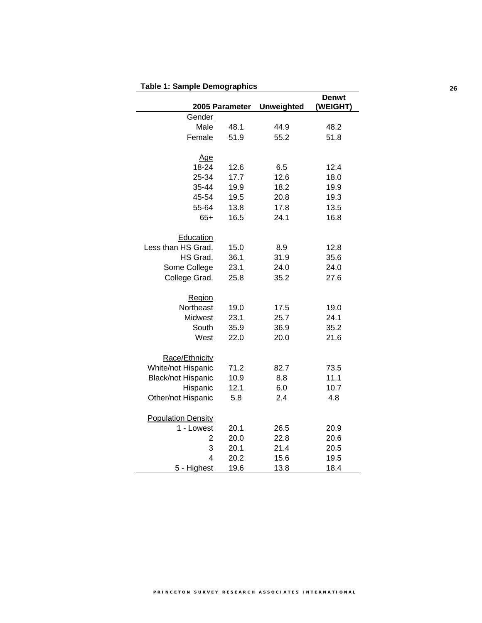| Gender<br>Male<br>48.1<br>44.9<br>48.2     |        | 2005 Parameter | <b>Unweighted</b> | (WEIGHT) |
|--------------------------------------------|--------|----------------|-------------------|----------|
|                                            |        |                |                   |          |
|                                            |        |                |                   |          |
|                                            | Female | 51.9           | 55.2              | 51.8     |
|                                            |        |                |                   |          |
| Age                                        |        |                |                   |          |
| 18-24<br>12.6<br>6.5<br>12.4               |        |                |                   |          |
| 25-34<br>17.7<br>12.6<br>18.0              |        |                |                   |          |
| 35-44<br>19.9<br>18.2<br>19.9              |        |                |                   |          |
| 19.3<br>45-54<br>19.5<br>20.8              |        |                |                   |          |
| 13.5<br>55-64<br>13.8<br>17.8              |        |                |                   |          |
| 24.1<br>$65+$<br>16.5<br>16.8              |        |                |                   |          |
|                                            |        |                |                   |          |
| Education                                  |        |                |                   |          |
| Less than HS Grad.<br>15.0<br>8.9<br>12.8  |        |                |                   |          |
| HS Grad.<br>36.1<br>31.9<br>35.6           |        |                |                   |          |
| Some College<br>23.1<br>24.0<br>24.0       |        |                |                   |          |
| College Grad.<br>25.8<br>35.2<br>27.6      |        |                |                   |          |
|                                            |        |                |                   |          |
| Region                                     |        |                |                   |          |
| Northeast<br>19.0<br>17.5<br>19.0          |        |                |                   |          |
| Midwest<br>23.1<br>25.7<br>24.1            |        |                |                   |          |
| South<br>35.9<br>36.9<br>35.2              |        |                |                   |          |
| West<br>22.0<br>21.6<br>20.0               |        |                |                   |          |
|                                            |        |                |                   |          |
| Race/Ethnicity                             |        |                |                   |          |
| White/not Hispanic<br>71.2<br>82.7<br>73.5 |        |                |                   |          |
| Black/not Hispanic<br>10.9<br>11.1<br>8.8  |        |                |                   |          |
| Hispanic<br>12.1<br>10.7<br>6.0            |        |                |                   |          |
| Other/not Hispanic<br>5.8<br>2.4<br>4.8    |        |                |                   |          |
| <b>Population Density</b>                  |        |                |                   |          |
| 1 - Lowest<br>20.1<br>26.5<br>20.9         |        |                |                   |          |
| 20.0<br>22.8<br>2<br>20.6                  |        |                |                   |          |
| 3<br>20.1<br>21.4<br>20.5                  |        |                |                   |          |
| $\overline{4}$<br>20.2<br>15.6<br>19.5     |        |                |                   |          |
| 13.8<br>5 - Highest<br>19.6<br>18.4        |        |                |                   |          |

**Table 1: Sample Demographics <sup>26</sup>**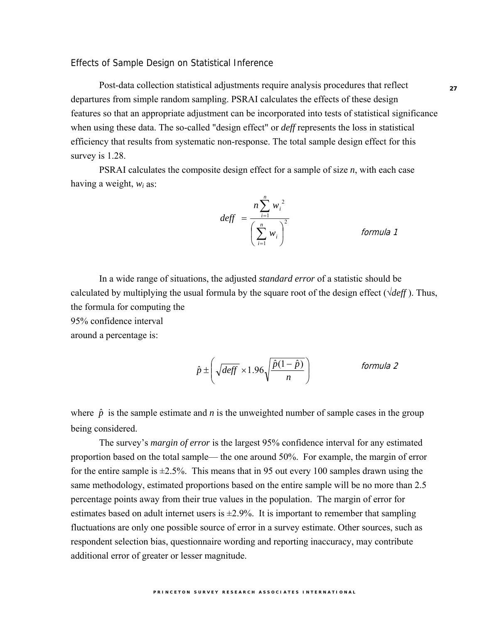## Effects of Sample Design on Statistical Inference

Post-data collection statistical adjustments require analysis procedures that reflect departures from simple random sampling. PSRAI calculates the effects of these design features so that an appropriate adjustment can be incorporated into tests of statistical significance when using these data. The so-called "design effect" or *deff* represents the loss in statistical efficiency that results from systematic non-response. The total sample design effect for this survey is 1.28.

PSRAI calculates the composite design effect for a sample of size *n*, with each case having a weight, *wi* as:

$$
deff = \frac{n \sum_{i=1}^{n} w_i^2}{\left(\sum_{i=1}^{n} w_i\right)^2}
$$
 formula 1

In a wide range of situations, the adjusted *standard error* of a statistic should be calculated by multiplying the usual formula by the square root of the design effect (√*deff* ). Thus, the formula for computing the 95% confidence interval

around a percentage is:

$$
\hat{p} \pm \left(\sqrt{\text{deff}} \times 1.96\sqrt{\frac{\hat{p}(1-\hat{p})}{n}}\right) \qquad \text{formula 2}
$$

where  $\hat{p}$  is the sample estimate and *n* is the unweighted number of sample cases in the group being considered.

The survey's *margin of error* is the largest 95% confidence interval for any estimated proportion based on the total sample— the one around 50%. For example, the margin of error for the entire sample is  $\pm 2.5\%$ . This means that in 95 out every 100 samples drawn using the same methodology, estimated proportions based on the entire sample will be no more than 2.5 percentage points away from their true values in the population. The margin of error for estimates based on adult internet users is  $\pm 2.9\%$ . It is important to remember that sampling fluctuations are only one possible source of error in a survey estimate. Other sources, such as respondent selection bias, questionnaire wording and reporting inaccuracy, may contribute additional error of greater or lesser magnitude.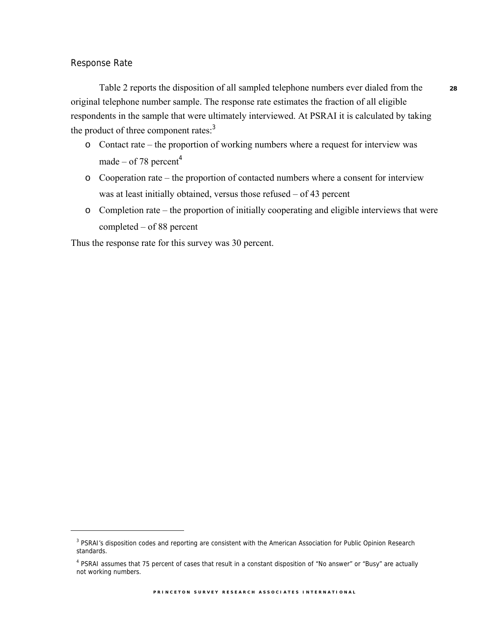## Response Rate

-

Table 2 reports the disposition of all sampled telephone numbers ever dialed from the original telephone number sample. The response rate estimates the fraction of all eligible respondents in the sample that were ultimately interviewed. At PSRAI it is calculated by taking the product of three component rates:<sup>3</sup>

- $\circ$  Contact rate the proportion of working numbers where a request for interview was made – of 78 percent<sup>4</sup>
- $\circ$  Cooperation rate the proportion of contacted numbers where a consent for interview was at least initially obtained, versus those refused  $-$  of 43 percent
- $\circ$  Completion rate the proportion of initially cooperating and eligible interviews that were completed  $-$  of 88 percent

Thus the response rate for this survey was 30 percent.

<sup>&</sup>lt;sup>3</sup> PSRAI's disposition codes and reporting are consistent with the American Association for Public Opinion Research standards.

<sup>&</sup>lt;sup>4</sup> PSRAI assumes that 75 percent of cases that result in a constant disposition of "No answer" or "Busy" are actually not working numbers.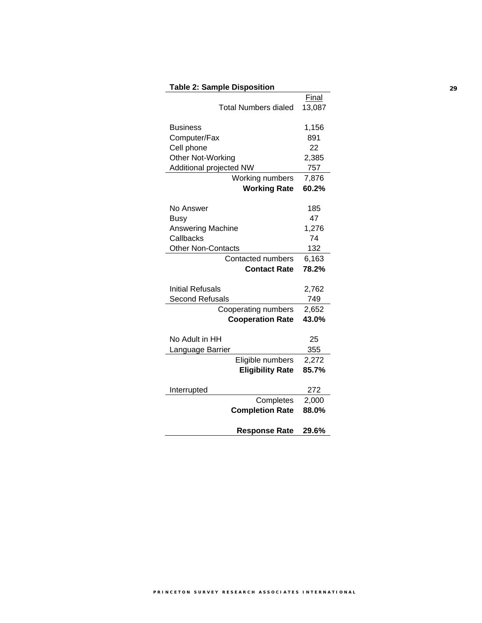| <b>Table 2: Sample Disposition</b> |              |
|------------------------------------|--------------|
|                                    | <b>Final</b> |
| <b>Total Numbers dialed</b>        | 13,087       |
|                                    |              |
| <b>Business</b>                    | 1,156        |
| Computer/Fax                       | 891          |
| Cell phone                         | 22           |
| Other Not-Working                  | 2,385        |
| Additional projected NW            | 757          |
| Working numbers                    | 7,876        |
| <b>Working Rate</b>                | 60.2%        |
|                                    |              |
| No Answer                          | 185          |
| Busy                               | 47           |
| <b>Answering Machine</b>           | 1,276        |
| Callbacks                          | 74           |
| <b>Other Non-Contacts</b>          | 132          |
| <b>Contacted numbers</b>           | 6,163        |
| <b>Contact Rate</b>                | 78.2%        |
|                                    |              |
| <b>Initial Refusals</b>            | 2,762        |
| <b>Second Refusals</b>             | 749          |
| Cooperating numbers                | 2,652        |
| <b>Cooperation Rate</b>            | 43.0%        |
|                                    |              |
| No Adult in HH                     | 25           |
| Language Barrier                   | 355          |
| Eligible numbers                   | 2,272        |
| <b>Eligibility Rate</b>            | 85.7%        |
|                                    | 272          |
| Interrupted                        |              |
| Completes                          | 2,000        |
| <b>Completion Rate</b>             | 88.0%        |
| <b>Response Rate</b>               | 29.6%        |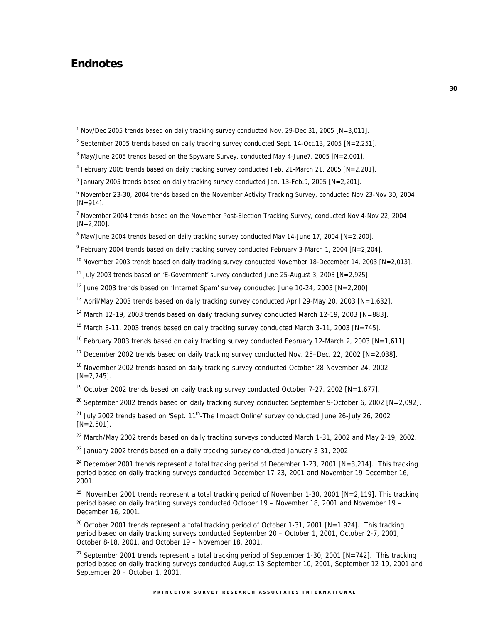# **Endnotes**

<sup>1</sup> Nov/Dec 2005 trends based on daily tracking survey conducted Nov. 29-Dec.31, 2005 [N=3,011].

<sup>2</sup> September 2005 trends based on daily tracking survey conducted Sept. 14-Oct.13, 2005 [N=2,251].

 $3$  May/June 2005 trends based on the Spyware Survey, conducted May 4-June7, 2005 [N=2,001].

4 February 2005 trends based on daily tracking survey conducted Feb. 21-March 21, 2005 [N=2,201].

 $<sup>5</sup>$  January 2005 trends based on daily tracking survey conducted Jan. 13-Feb.9, 2005 [N=2,201].</sup>

6 November 23-30, 2004 trends based on the November Activity Tracking Survey, conducted Nov 23-Nov 30, 2004  $[N=914]$ .

<sup>7</sup> November 2004 trends based on the November Post-Election Tracking Survey, conducted Nov 4-Nov 22, 2004  $[N=2,200]$ .

 $8$  May/June 2004 trends based on daily tracking survey conducted May 14-June 17, 2004 [N=2,200].

<sup>9</sup> February 2004 trends based on daily tracking survey conducted February 3-March 1, 2004 [N=2,204].

<sup>10</sup> November 2003 trends based on daily tracking survey conducted November 18-December 14, 2003 [N=2,013].

<sup>11</sup> July 2003 trends based on 'E-Government' survey conducted June 25-August 3, 2003  $[N=2,925]$ .

<sup>12</sup> June 2003 trends based on 'Internet Spam' survey conducted June 10-24, 2003 [N=2,200].

<sup>13</sup> April/May 2003 trends based on daily tracking survey conducted April 29-May 20, 2003 [N=1,632].

<sup>14</sup> March 12-19, 2003 trends based on daily tracking survey conducted March 12-19, 2003 [N=883].

<sup>15</sup> March 3-11, 2003 trends based on daily tracking survey conducted March 3-11, 2003 [N=745].

<sup>16</sup> February 2003 trends based on daily tracking survey conducted February 12-March 2, 2003 [N=1,611].

<sup>17</sup> December 2002 trends based on daily tracking survey conducted Nov. 25–Dec. 22, 2002 [N=2,038].

<sup>18</sup> November 2002 trends based on daily tracking survey conducted October 28-November 24, 2002  $[N=2,745]$ .

<sup>19</sup> October 2002 trends based on daily tracking survey conducted October 7-27, 2002 [N=1,677].

<sup>20</sup> September 2002 trends based on daily tracking survey conducted September 9-October 6, 2002 [N=2,092].

<sup>21</sup> July 2002 trends based on 'Sept. 11<sup>th</sup>-The Impact Online' survey conducted June 26-July 26, 2002  $[N=2,501]$ .

<sup>22</sup> March/May 2002 trends based on daily tracking surveys conducted March 1-31, 2002 and May 2-19, 2002.

<sup>23</sup> January 2002 trends based on a daily tracking survey conducted January 3-31, 2002.

<sup>24</sup> December 2001 trends represent a total tracking period of December 1-23, 2001 [N=3,214]. This tracking period based on daily tracking surveys conducted December 17-23, 2001 and November 19-December 16, 2001.

<sup>25</sup> November 2001 trends represent a total tracking period of November 1-30, 2001 [N=2,119]. This tracking period based on daily tracking surveys conducted October 19 – November 18, 2001 and November 19 – December 16, 2001.

<sup>26</sup> October 2001 trends represent a total tracking period of October 1-31, 2001 [N=1,924]. This tracking period based on daily tracking surveys conducted September 20 – October 1, 2001, October 2-7, 2001, October 8-18, 2001, and October  $19 -$  November 18, 2001.

<sup>27</sup> September 2001 trends represent a total tracking period of September 1-30, 2001 [N=742]. This tracking period based on daily tracking surveys conducted August 13-September 10, 2001, September 12-19, 2001 and September 20 – October 1, 2001.